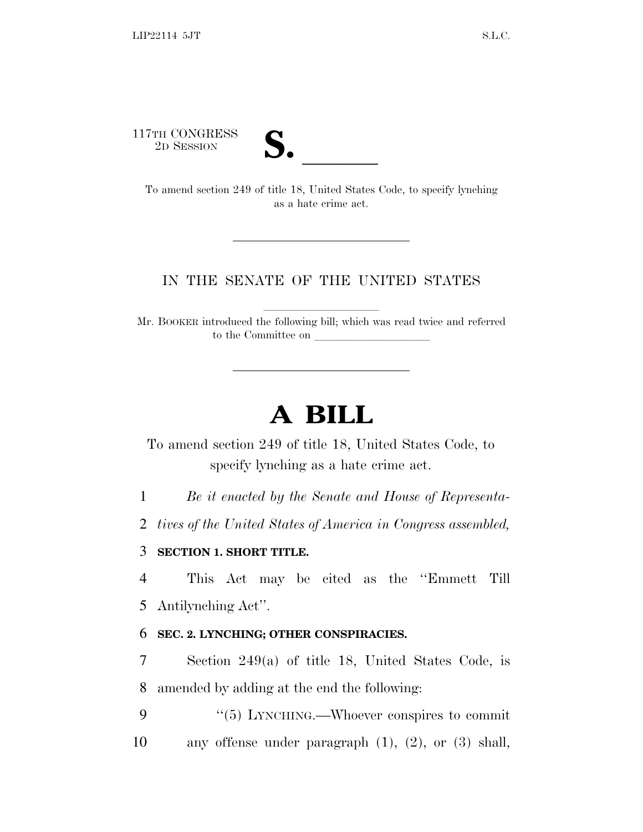117TH CONGRESS



TTH CONGRESS<br>
2D SESSION<br>
To amend section 249 of title 18, United States Code, to specify lynching as a hate crime act.

## IN THE SENATE OF THE UNITED STATES

Mr. BOOKER introduced the following bill; which was read twice and referred to the Committee on

## **A BILL**

To amend section 249 of title 18, United States Code, to specify lynching as a hate crime act.

1 *Be it enacted by the Senate and House of Representa-*

2 *tives of the United States of America in Congress assembled,*

## 3 **SECTION 1. SHORT TITLE.**

4 This Act may be cited as the ''Emmett Till 5 Antilynching Act''.

## 6 **SEC. 2. LYNCHING; OTHER CONSPIRACIES.**

7 Section 249(a) of title 18, United States Code, is 8 amended by adding at the end the following:

9 "(5) LYNCHING.—Whoever conspires to commit 10 any offense under paragraph (1), (2), or (3) shall,